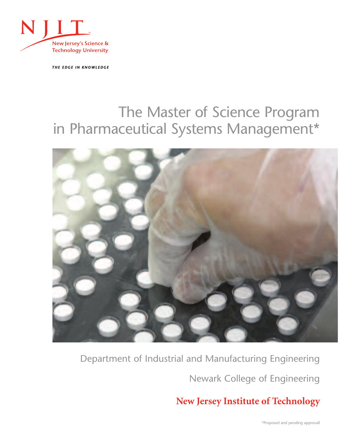

THE EDGE IN KNOWLEDGE

# The Master of Science Program in Pharmaceutical Systems Management\*



# Department of Industrial and Manufacturing Engineering

Newark College of Engineering

## **New Jersey Institute of Technology**

\*Proposed and pending approvall